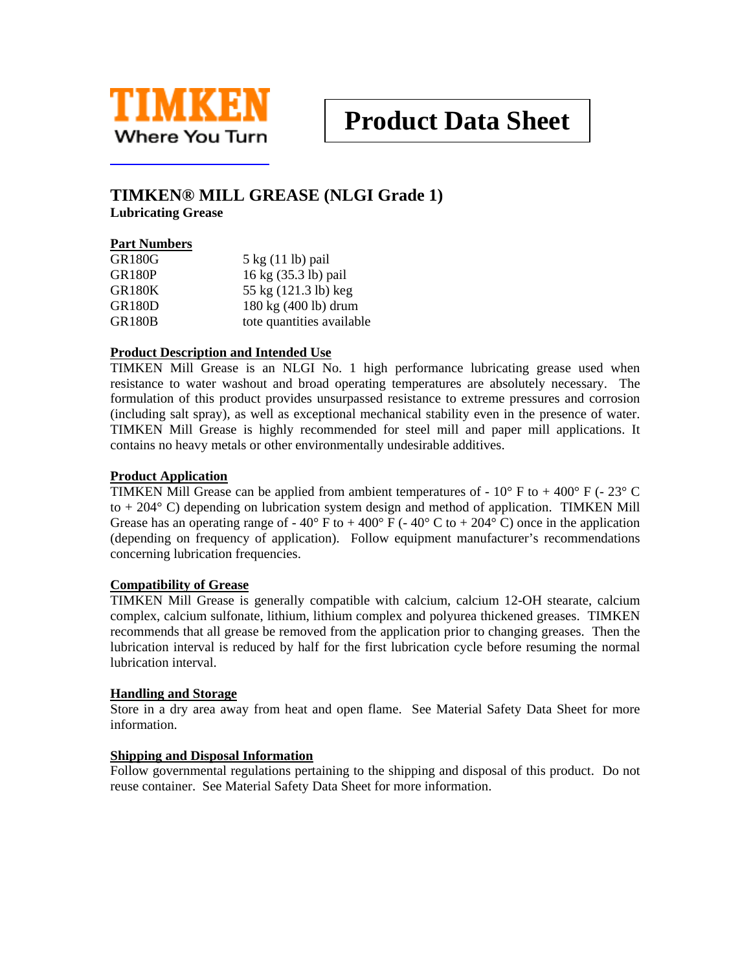

# **TIMKEN® MILL GREASE (NLGI Grade 1)**

**Lubricating Grease** 

## **Part Numbers**

| <b>GR180G</b> | 5 kg (11 lb) pail         |
|---------------|---------------------------|
| <b>GR180P</b> | 16 kg (35.3 lb) pail      |
| <b>GR180K</b> | 55 kg (121.3 lb) keg      |
| <b>GR180D</b> | 180 kg (400 lb) drum      |
| <b>GR180B</b> | tote quantities available |

## **Product Description and Intended Use**

TIMKEN Mill Grease is an NLGI No. 1 high performance lubricating grease used when resistance to water washout and broad operating temperatures are absolutely necessary. The formulation of this product provides unsurpassed resistance to extreme pressures and corrosion (including salt spray), as well as exceptional mechanical stability even in the presence of water. TIMKEN Mill Grease is highly recommended for steel mill and paper mill applications. It contains no heavy metals or other environmentally undesirable additives.

#### **Product Application**

TIMKEN Mill Grease can be applied from ambient temperatures of -  $10^{\circ}$  F to  $+400^{\circ}$  F (-  $23^{\circ}$  C to + 204° C) depending on lubrication system design and method of application. TIMKEN Mill Grease has an operating range of -  $40^{\circ}$  F to +  $400^{\circ}$  F (-  $40^{\circ}$  C to +  $204^{\circ}$  C) once in the application (depending on frequency of application). Follow equipment manufacturer's recommendations concerning lubrication frequencies.

#### **Compatibility of Grease**

TIMKEN Mill Grease is generally compatible with calcium, calcium 12-OH stearate, calcium complex, calcium sulfonate, lithium, lithium complex and polyurea thickened greases. TIMKEN recommends that all grease be removed from the application prior to changing greases. Then the lubrication interval is reduced by half for the first lubrication cycle before resuming the normal lubrication interval.

#### **Handling and Storage**

Store in a dry area away from heat and open flame. See Material Safety Data Sheet for more information.

#### **Shipping and Disposal Information**

Follow governmental regulations pertaining to the shipping and disposal of this product. Do not reuse container. See Material Safety Data Sheet for more information.